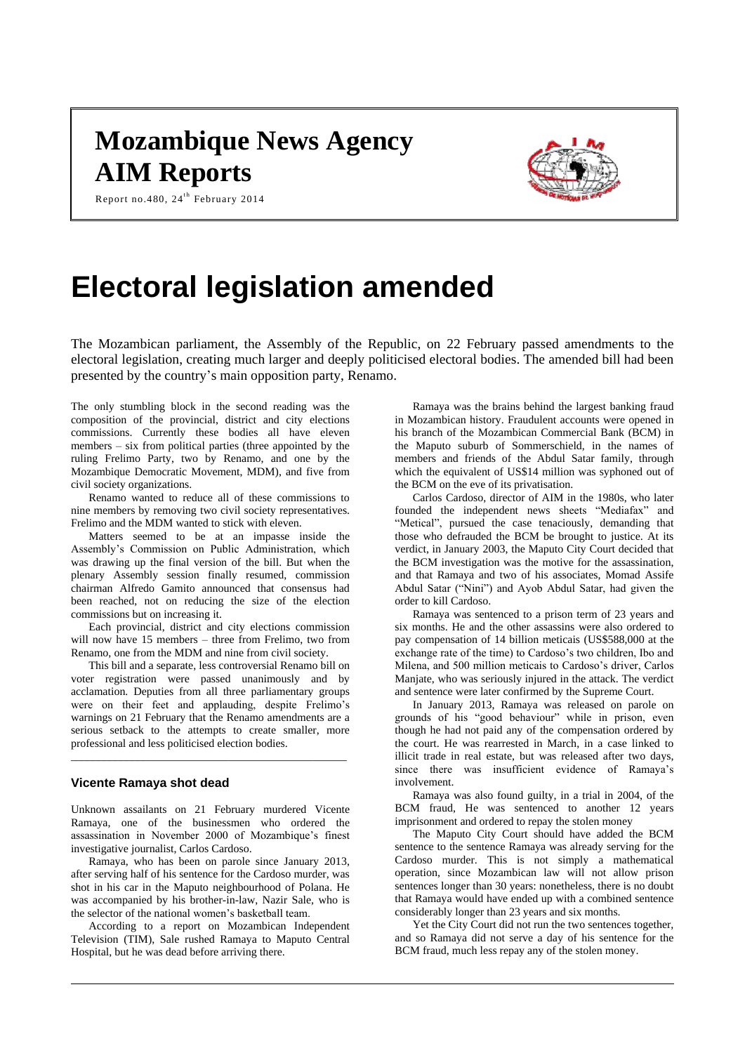# **Mozambique News Agency AIM Reports**



Report no.480, 24<sup>th</sup> February 2014

# **Electoral legislation amended**

The Mozambican parliament, the Assembly of the Republic, on 22 February passed amendments to the electoral legislation, creating much larger and deeply politicised electoral bodies. The amended bill had been presented by the country's main opposition party, Renamo.

The only stumbling block in the second reading was the composition of the provincial, district and city elections commissions. Currently these bodies all have eleven members – six from political parties (three appointed by the ruling Frelimo Party, two by Renamo, and one by the Mozambique Democratic Movement, MDM), and five from civil society organizations.

Renamo wanted to reduce all of these commissions to nine members by removing two civil society representatives. Frelimo and the MDM wanted to stick with eleven.

Matters seemed to be at an impasse inside the Assembly's Commission on Public Administration, which was drawing up the final version of the bill. But when the plenary Assembly session finally resumed, commission chairman Alfredo Gamito announced that consensus had been reached, not on reducing the size of the election commissions but on increasing it.

Each provincial, district and city elections commission will now have 15 members – three from Frelimo, two from Renamo, one from the MDM and nine from civil society.

This bill and a separate, less controversial Renamo bill on voter registration were passed unanimously and by acclamation. Deputies from all three parliamentary groups were on their feet and applauding, despite Frelimo's warnings on 21 February that the Renamo amendments are a serious setback to the attempts to create smaller, more professional and less politicised election bodies.

\_\_\_\_\_\_\_\_\_\_\_\_\_\_\_\_\_\_\_\_\_\_\_\_\_\_\_\_\_\_\_\_\_\_\_\_\_\_\_\_\_\_\_\_\_\_\_\_\_

#### **Vicente Ramaya shot dead**

Unknown assailants on 21 February murdered Vicente Ramaya, one of the businessmen who ordered the assassination in November 2000 of Mozambique's finest investigative journalist, Carlos Cardoso.

Ramaya, who has been on parole since January 2013, after serving half of his sentence for the Cardoso murder, was shot in his car in the Maputo neighbourhood of Polana. He was accompanied by his brother-in-law, Nazir Sale, who is the selector of the national women's basketball team.

According to a report on Mozambican Independent Television (TIM), Sale rushed Ramaya to Maputo Central Hospital, but he was dead before arriving there.

Ramaya was the brains behind the largest banking fraud in Mozambican history. Fraudulent accounts were opened in his branch of the Mozambican Commercial Bank (BCM) in the Maputo suburb of Sommerschield, in the names of members and friends of the Abdul Satar family, through which the equivalent of US\$14 million was syphoned out of the BCM on the eve of its privatisation.

Carlos Cardoso, director of AIM in the 1980s, who later founded the independent news sheets "Mediafax" and "Metical", pursued the case tenaciously, demanding that those who defrauded the BCM be brought to justice. At its verdict, in January 2003, the Maputo City Court decided that the BCM investigation was the motive for the assassination, and that Ramaya and two of his associates, Momad Assife Abdul Satar ("Nini") and Ayob Abdul Satar, had given the order to kill Cardoso.

Ramaya was sentenced to a prison term of 23 years and six months. He and the other assassins were also ordered to pay compensation of 14 billion meticais (US\$588,000 at the exchange rate of the time) to Cardoso's two children, Ibo and Milena, and 500 million meticais to Cardoso's driver, Carlos Manjate, who was seriously injured in the attack. The verdict and sentence were later confirmed by the Supreme Court.

In January 2013, Ramaya was released on parole on grounds of his "good behaviour" while in prison, even though he had not paid any of the compensation ordered by the court. He was rearrested in March, in a case linked to illicit trade in real estate, but was released after two days, since there was insufficient evidence of Ramaya's involvement.

Ramaya was also found guilty, in a trial in 2004, of the BCM fraud, He was sentenced to another 12 years imprisonment and ordered to repay the stolen money

The Maputo City Court should have added the BCM sentence to the sentence Ramaya was already serving for the Cardoso murder. This is not simply a mathematical operation, since Mozambican law will not allow prison sentences longer than 30 years: nonetheless, there is no doubt that Ramaya would have ended up with a combined sentence considerably longer than 23 years and six months.

Yet the City Court did not run the two sentences together, and so Ramaya did not serve a day of his sentence for the BCM fraud, much less repay any of the stolen money.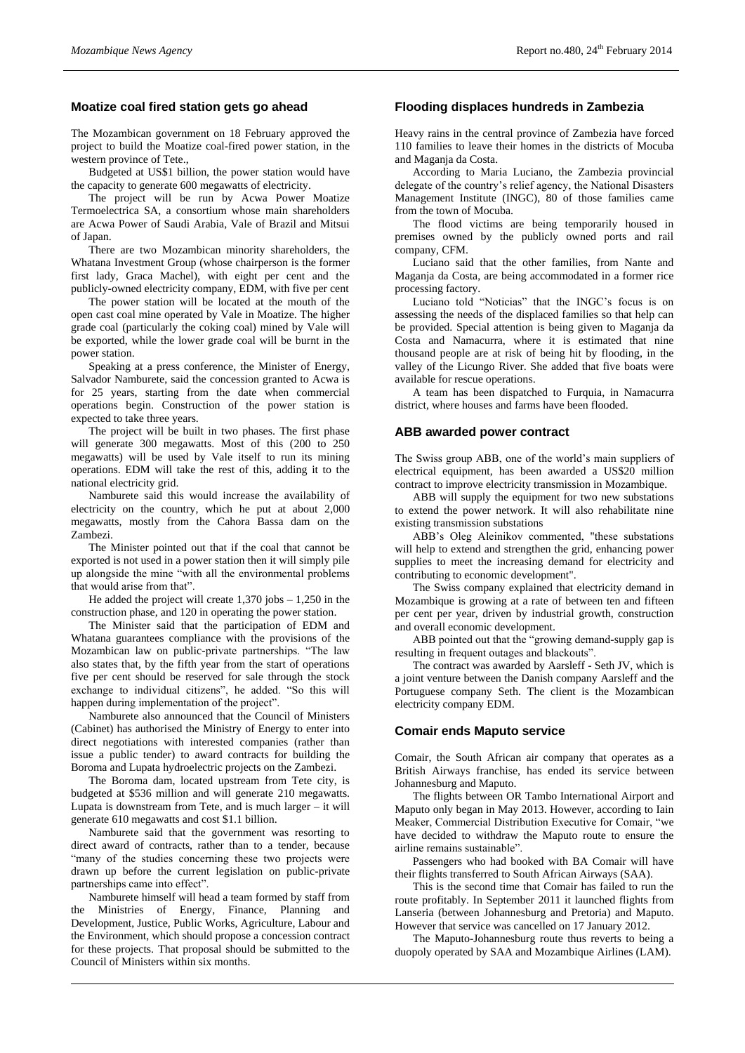#### **Moatize coal fired station gets go ahead**

The Mozambican government on 18 February approved the project to build the Moatize coal-fired power station, in the western province of Tete.,

Budgeted at US\$1 billion, the power station would have the capacity to generate 600 megawatts of electricity.

The project will be run by Acwa Power Moatize Termoelectrica SA, a consortium whose main shareholders are Acwa Power of Saudi Arabia, Vale of Brazil and Mitsui of Japan.

There are two Mozambican minority shareholders, the Whatana Investment Group (whose chairperson is the former first lady, Graca Machel), with eight per cent and the publicly-owned electricity company, EDM, with five per cent

The power station will be located at the mouth of the open cast coal mine operated by Vale in Moatize. The higher grade coal (particularly the coking coal) mined by Vale will be exported, while the lower grade coal will be burnt in the power station.

Speaking at a press conference, the Minister of Energy, Salvador Namburete, said the concession granted to Acwa is for 25 years, starting from the date when commercial operations begin. Construction of the power station is expected to take three years.

The project will be built in two phases. The first phase will generate 300 megawatts. Most of this (200 to 250 megawatts) will be used by Vale itself to run its mining operations. EDM will take the rest of this, adding it to the national electricity grid.

Namburete said this would increase the availability of electricity on the country, which he put at about 2,000 megawatts, mostly from the Cahora Bassa dam on the Zambezi.

The Minister pointed out that if the coal that cannot be exported is not used in a power station then it will simply pile up alongside the mine "with all the environmental problems that would arise from that".

He added the project will create  $1,370$  jobs  $-1,250$  in the construction phase, and 120 in operating the power station.

The Minister said that the participation of EDM and Whatana guarantees compliance with the provisions of the Mozambican law on public-private partnerships. "The law also states that, by the fifth year from the start of operations five per cent should be reserved for sale through the stock exchange to individual citizens", he added. "So this will happen during implementation of the project".

Namburete also announced that the Council of Ministers (Cabinet) has authorised the Ministry of Energy to enter into direct negotiations with interested companies (rather than issue a public tender) to award contracts for building the Boroma and Lupata hydroelectric projects on the Zambezi.

The Boroma dam, located upstream from Tete city, is budgeted at \$536 million and will generate 210 megawatts. Lupata is downstream from Tete, and is much larger – it will generate 610 megawatts and cost \$1.1 billion.

Namburete said that the government was resorting to direct award of contracts, rather than to a tender, because "many of the studies concerning these two projects were drawn up before the current legislation on public-private partnerships came into effect".

Namburete himself will head a team formed by staff from the Ministries of Energy, Finance, Planning and Development, Justice, Public Works, Agriculture, Labour and the Environment, which should propose a concession contract for these projects. That proposal should be submitted to the Council of Ministers within six months.

#### **Flooding displaces hundreds in Zambezia**

Heavy rains in the central province of Zambezia have forced 110 families to leave their homes in the districts of Mocuba and Maganja da Costa.

According to Maria Luciano, the Zambezia provincial delegate of the country's relief agency, the National Disasters Management Institute (INGC), 80 of those families came from the town of Mocuba.

The flood victims are being temporarily housed in premises owned by the publicly owned ports and rail company, CFM.

Luciano said that the other families, from Nante and Maganja da Costa, are being accommodated in a former rice processing factory.

Luciano told "Noticias" that the INGC's focus is on assessing the needs of the displaced families so that help can be provided. Special attention is being given to Maganja da Costa and Namacurra, where it is estimated that nine thousand people are at risk of being hit by flooding, in the valley of the Licungo River. She added that five boats were available for rescue operations.

A team has been dispatched to Furquia, in Namacurra district, where houses and farms have been flooded.

### **ABB awarded power contract**

The Swiss group ABB, one of the world's main suppliers of electrical equipment, has been awarded a US\$20 million contract to improve electricity transmission in Mozambique.

ABB will supply the equipment for two new substations to extend the power network. It will also rehabilitate nine existing transmission substations

ABB's Oleg Aleinikov commented, "these substations will help to extend and strengthen the grid, enhancing power supplies to meet the increasing demand for electricity and contributing to economic development".

The Swiss company explained that electricity demand in Mozambique is growing at a rate of between ten and fifteen per cent per year, driven by industrial growth, construction and overall economic development.

ABB pointed out that the "growing demand-supply gap is resulting in frequent outages and blackouts".

The contract was awarded by Aarsleff - Seth JV, which is a joint venture between the Danish company Aarsleff and the Portuguese company Seth. The client is the Mozambican electricity company EDM.

#### **Comair ends Maputo service**

Comair, the South African air company that operates as a British Airways franchise, has ended its service between Johannesburg and Maputo.

The flights between OR Tambo International Airport and Maputo only began in May 2013. However, according to Iain Meaker, Commercial Distribution Executive for Comair, "we have decided to withdraw the Maputo route to ensure the airline remains sustainable".

Passengers who had booked with BA Comair will have their flights transferred to South African Airways (SAA).

This is the second time that Comair has failed to run the route profitably. In September 2011 it launched flights from Lanseria (between Johannesburg and Pretoria) and Maputo. However that service was cancelled on 17 January 2012.

The Maputo-Johannesburg route thus reverts to being a duopoly operated by SAA and Mozambique Airlines (LAM).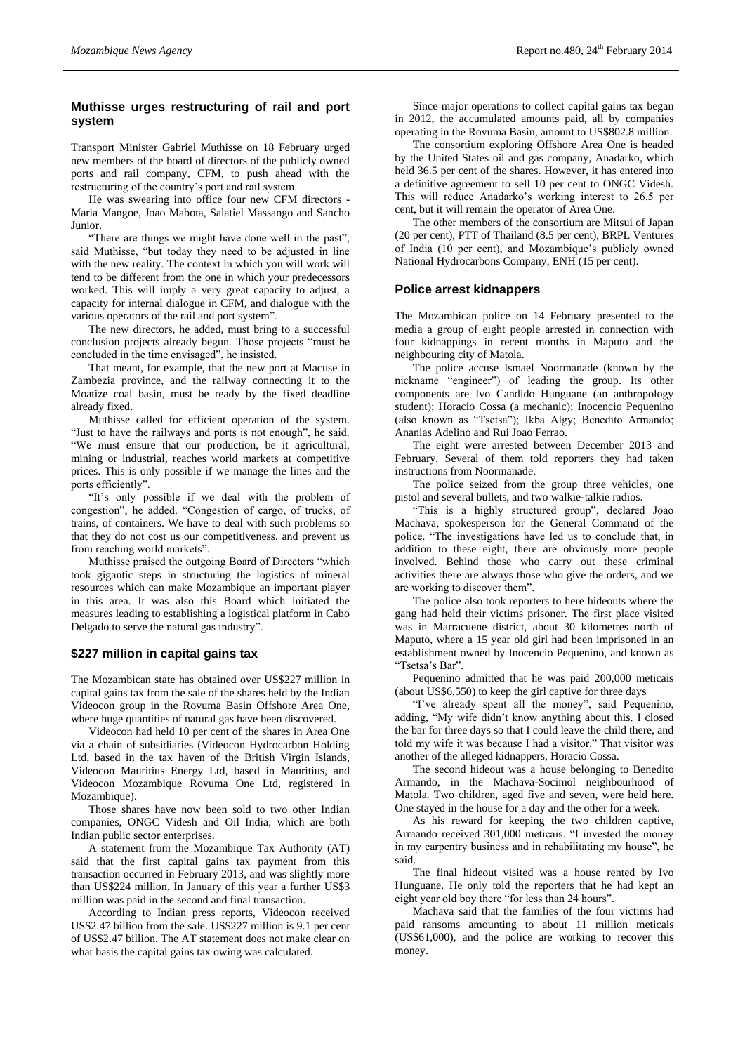### **Muthisse urges restructuring of rail and port system**

Transport Minister Gabriel Muthisse on 18 February urged new members of the board of directors of the publicly owned ports and rail company, CFM, to push ahead with the restructuring of the country's port and rail system.

He was swearing into office four new CFM directors - Maria Mangoe, Joao Mabota, Salatiel Massango and Sancho Junior.

"There are things we might have done well in the past", said Muthisse, "but today they need to be adjusted in line with the new reality. The context in which you will work will tend to be different from the one in which your predecessors worked. This will imply a very great capacity to adjust, a capacity for internal dialogue in CFM, and dialogue with the various operators of the rail and port system".

The new directors, he added, must bring to a successful conclusion projects already begun. Those projects "must be concluded in the time envisaged", he insisted.

That meant, for example, that the new port at Macuse in Zambezia province, and the railway connecting it to the Moatize coal basin, must be ready by the fixed deadline already fixed.

Muthisse called for efficient operation of the system. "Just to have the railways and ports is not enough", he said. "We must ensure that our production, be it agricultural, mining or industrial, reaches world markets at competitive prices. This is only possible if we manage the lines and the ports efficiently".

"It's only possible if we deal with the problem of congestion", he added. "Congestion of cargo, of trucks, of trains, of containers. We have to deal with such problems so that they do not cost us our competitiveness, and prevent us from reaching world markets".

Muthisse praised the outgoing Board of Directors "which took gigantic steps in structuring the logistics of mineral resources which can make Mozambique an important player in this area. It was also this Board which initiated the measures leading to establishing a logistical platform in Cabo Delgado to serve the natural gas industry".

# **\$227 million in capital gains tax**

The Mozambican state has obtained over US\$227 million in capital gains tax from the sale of the shares held by the Indian Videocon group in the Rovuma Basin Offshore Area One, where huge quantities of natural gas have been discovered.

Videocon had held 10 per cent of the shares in Area One via a chain of subsidiaries (Videocon Hydrocarbon Holding Ltd, based in the tax haven of the British Virgin Islands, Videocon Mauritius Energy Ltd, based in Mauritius, and Videocon Mozambique Rovuma One Ltd, registered in Mozambique).

Those shares have now been sold to two other Indian companies, ONGC Videsh and Oil India, which are both Indian public sector enterprises.

A statement from the Mozambique Tax Authority (AT) said that the first capital gains tax payment from this transaction occurred in February 2013, and was slightly more than US\$224 million. In January of this year a further US\$3 million was paid in the second and final transaction.

According to Indian press reports, Videocon received US\$2.47 billion from the sale. US\$227 million is 9.1 per cent of US\$2.47 billion. The AT statement does not make clear on what basis the capital gains tax owing was calculated.

Since major operations to collect capital gains tax began in 2012, the accumulated amounts paid, all by companies operating in the Rovuma Basin, amount to US\$802.8 million.

The consortium exploring Offshore Area One is headed by the United States oil and gas company, Anadarko, which held 36.5 per cent of the shares. However, it has entered into a definitive agreement to sell 10 per cent to ONGC Videsh. This will reduce Anadarko's working interest to 26.5 per cent, but it will remain the operator of Area One.

The other members of the consortium are Mitsui of Japan (20 per cent), PTT of Thailand (8.5 per cent), BRPL Ventures of India (10 per cent), and Mozambique's publicly owned National Hydrocarbons Company, ENH (15 per cent).

#### **Police arrest kidnappers**

The Mozambican police on 14 February presented to the media a group of eight people arrested in connection with four kidnappings in recent months in Maputo and the neighbouring city of Matola.

The police accuse Ismael Noormanade (known by the nickname "engineer") of leading the group. Its other components are Ivo Candido Hunguane (an anthropology student); Horacio Cossa (a mechanic); Inocencio Pequenino (also known as "Tsetsa"); Ikba Algy; Benedito Armando; Ananias Adelino and Rui Joao Ferrao.

The eight were arrested between December 2013 and February. Several of them told reporters they had taken instructions from Noormanade.

The police seized from the group three vehicles, one pistol and several bullets, and two walkie-talkie radios.

"This is a highly structured group", declared Joao Machava, spokesperson for the General Command of the police. "The investigations have led us to conclude that, in addition to these eight, there are obviously more people involved. Behind those who carry out these criminal activities there are always those who give the orders, and we are working to discover them".

The police also took reporters to here hideouts where the gang had held their victims prisoner. The first place visited was in Marracuene district, about 30 kilometres north of Maputo, where a 15 year old girl had been imprisoned in an establishment owned by Inocencio Pequenino, and known as "Tsetsa's Bar".

Pequenino admitted that he was paid 200,000 meticais (about US\$6,550) to keep the girl captive for three days

"I've already spent all the money", said Pequenino, adding, "My wife didn't know anything about this. I closed the bar for three days so that I could leave the child there, and told my wife it was because I had a visitor." That visitor was another of the alleged kidnappers, Horacio Cossa.

The second hideout was a house belonging to Benedito Armando, in the Machava-Socimol neighbourhood of Matola. Two children, aged five and seven, were held here. One stayed in the house for a day and the other for a week.

As his reward for keeping the two children captive, Armando received 301,000 meticais. "I invested the money in my carpentry business and in rehabilitating my house", he said.

The final hideout visited was a house rented by Ivo Hunguane. He only told the reporters that he had kept an eight year old boy there "for less than 24 hours".

Machava said that the families of the four victims had paid ransoms amounting to about 11 million meticais (US\$61,000), and the police are working to recover this money.